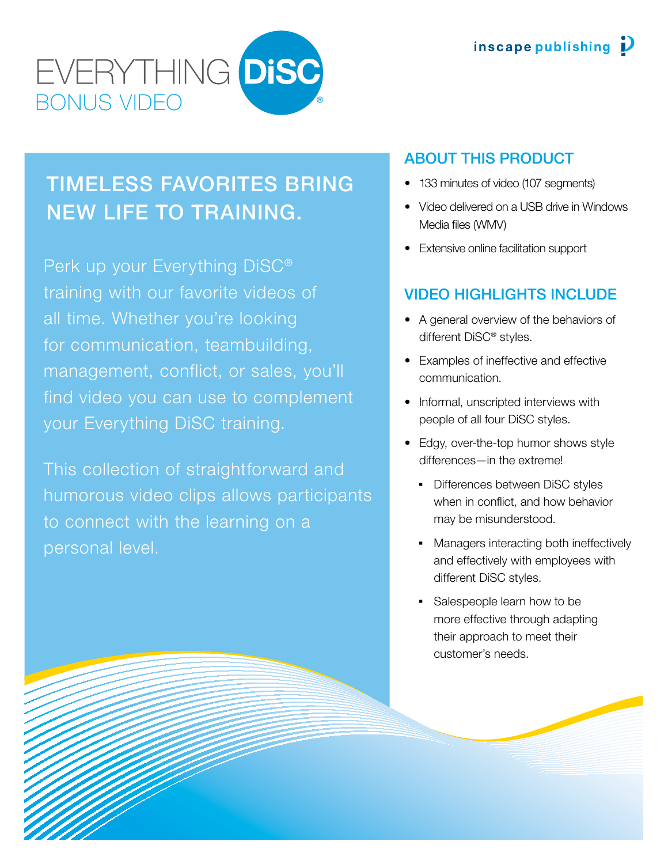

# Timeless favorites bring new life to training.

Perk up your Everything DiSC® training with our favorite videos of all time. Whether you're looking for communication, teambuilding, management, conflict, or sales, you'll find video you can use to complement your Everything DiSC training.

This collection of straightforward and humorous video clips allows participants to connect with the learning on a personal level.

## About this product

- 133 minutes of video (107 segments)
- Video delivered on a USB drive in Windows Media files (WMV)
- Extensive online facilitation support

# Video highlights include

- A general overview of the behaviors of different DiSC® styles.
- Examples of ineffective and effective communication.
- Informal, unscripted interviews with people of all four DiSC styles.
- Edgy, over-the-top humor shows style differences—in the extreme!
	- **•** Differences between DiSC styles when in conflict, and how behavior may be misunderstood.
	- **Managers interacting both ineffectively** and effectively with employees with different DiSC styles.
	- Salespeople learn how to be more effective through adapting their approach to meet their customer's needs.